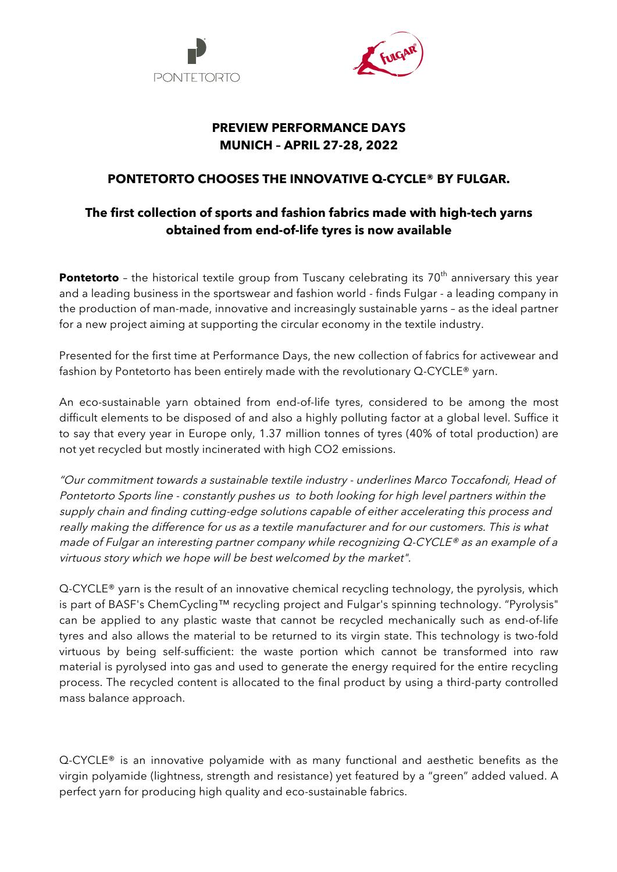



## **PREVIEW PERFORMANCE DAYS MUNICH – APRIL 27-28, 2022**

## **PONTETORTO CHOOSES THE INNOVATIVE Q-CYCLE® BY FULGAR.**

## **The first collection of sports and fashion fabrics made with high-tech yarns obtained from end-of-life tyres is now available**

**Pontetorto** - the historical textile group from Tuscany celebrating its 70<sup>th</sup> anniversary this year and a leading business in the sportswear and fashion world - finds Fulgar - a leading company in the production of man-made, innovative and increasingly sustainable yarns – as the ideal partner for a new project aiming at supporting the circular economy in the textile industry.

Presented for the first time at Performance Days, the new collection of fabrics for activewear and fashion by Pontetorto has been entirely made with the revolutionary Q-CYCLE® yarn.

An eco-sustainable yarn obtained from end-of-life tyres, considered to be among the most difficult elements to be disposed of and also a highly polluting factor at a global level. Suffice it to say that every year in Europe only, 1.37 million tonnes of tyres (40% of total production) are not yet recycled but mostly incinerated with high CO2 emissions.

"Our commitment towards a sustainable textile industry - underlines Marco Toccafondi, Head of Pontetorto Sports line - constantly pushes us to both looking for high level partners within the supply chain and finding cutting-edge solutions capable of either accelerating this process and really making the difference for us as a textile manufacturer and for our customers. This is what made of Fulgar an interesting partner company while recognizing Q-CYCLE® as an example of a virtuous story which we hope will be best welcomed by the market".

Q-CYCLE<sup>®</sup> yarn is the result of an innovative chemical recycling technology, the pyrolysis, which is part of BASF's ChemCycling™ recycling project and Fulgar's spinning technology. "Pyrolysis" can be applied to any plastic waste that cannot be recycled mechanically such as end-of-life tyres and also allows the material to be returned to its virgin state. This technology is two-fold virtuous by being self-sufficient: the waste portion which cannot be transformed into raw material is pyrolysed into gas and used to generate the energy required for the entire recycling process. The recycled content is allocated to the final product by using a third-party controlled mass balance approach.

Q-CYCLE® is an innovative polyamide with as many functional and aesthetic benefits as the virgin polyamide (lightness, strength and resistance) yet featured by a "green" added valued. A perfect yarn for producing high quality and eco-sustainable fabrics.